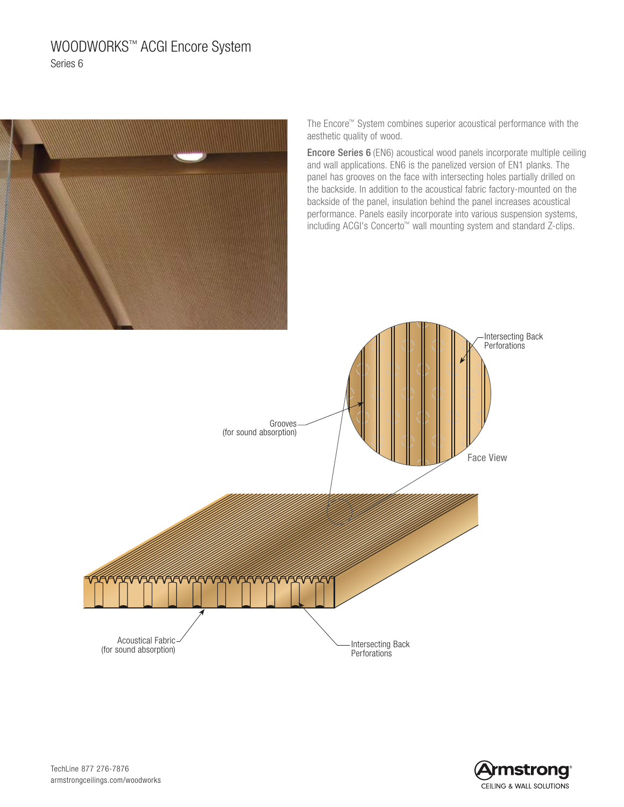# WOODWORKS™ ACGI Encore System Series 6



The Encore™ System combines superior acoustical performance with the aesthetic quality of wood.

Encore Series 6 (EN6) acoustical wood panels incorporate multiple ceiling and wall applications. EN6 is the panelized version of EN1 planks. The panel has grooves on the face with intersecting holes partially drilled on the backside. In addition to the acoustical fabric factory-mounted on the backside of the panel, insulation behind the panel increases acoustical performance. Panels easily incorporate into various suspension systems, including ACGI's Concerto™ wall mounting system and standard Z-clips.





TechLine 877 276-7876 armstrongceilings.com/woodworks